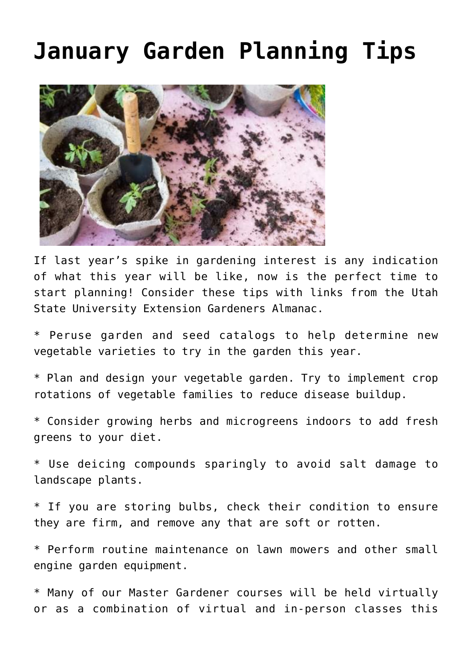## **[January Garden Planning Tips](https://livewellutah.org/2021/01/06/january-garden-planning-tips/)**



If last year's spike in gardening interest is any indication of what this year will be like, now is the perfect time to start planning! Consider these tips with links from the Utah State University Extension Gardeners Almanac.

\* Peruse garden and seed catalogs to help determine new vegetable varieties to try in the garden this year.

\* Plan and design your vegetable garden. Try to implement crop rotations of vegetable families to reduce disease buildup.

\* Consider growing herbs and microgreens indoors to add fresh greens to your diet.

\* Use [deicing compounds](http://digitalcommons.usu.edu/cgi/viewcontent.cgi?article=1730&context=extension_histall) sparingly to avoid salt damage to landscape plants.

\* If you are storing bulbs, check their condition to ensure they are firm, and remove any that are soft or rotten.

\* Perform routine maintenance on lawn mowers and other small engine garden equipment.

\* Many of our Master Gardener courses will be held virtually or as a combination of virtual and in-person classes this